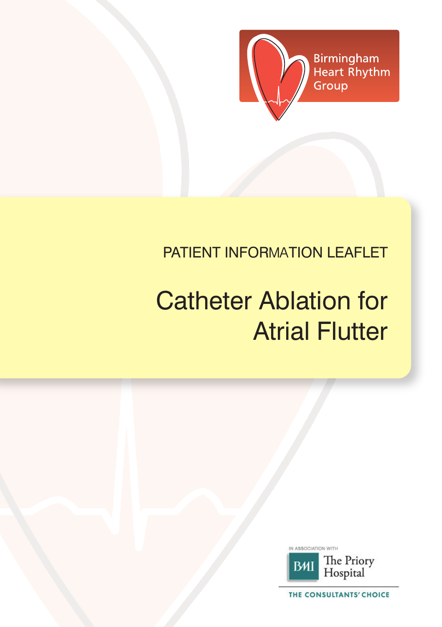

# PATIENT INFORmaTION LEAFLET

# Catheter Ablation for Atrial Flutter



THE CONSULTANTS' CHOICE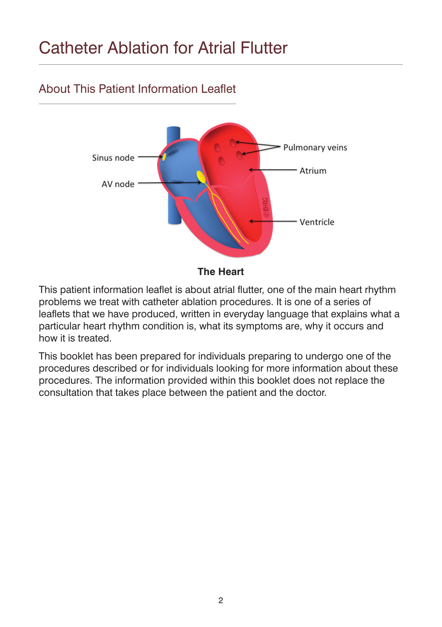# Catheter Ablation for Atrial Flutter

# About This Patient Information Leaflet



**The Heart**

This patient information leaflet is about atrial flutter, one of the main heart rhythm problems we treat with catheter ablation procedures. It is one of a series of leaflets that we have produced, written in everyday language that explains what a particular heart rhythm condition is, what its symptoms are, why it occurs and how it is treated.

This booklet has been prepared for individuals preparing to undergo one of the procedures described or for individuals looking for more information about these procedures. The information provided within this booklet does not replace the consultation that takes place between the patient and the doctor.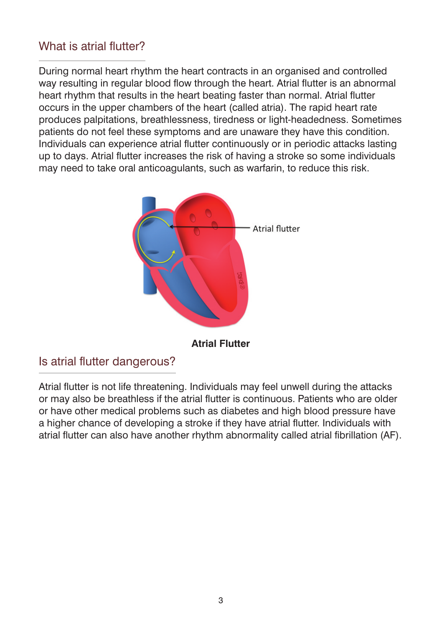# What is atrial flutter?

During normal heart rhythm the heart contracts in an organised and controlled way resulting in regular blood flow through the heart. Atrial flutter is an abnormal heart rhythm that results in the heart beating faster than normal. Atrial flutter occurs in the upper chambers of the heart (called atria). The rapid heart rate produces palpitations, breathlessness, tiredness or light-headedness. Sometimes patients do not feel these symptoms and are unaware they have this condition. Individuals can experience atrial flutter continuously or in periodic attacks lasting up to days. Atrial flutter increases the risk of having a stroke so some individuals may need to take oral anticoagulants, such as warfarin, to reduce this risk.



# Is atrial flutter dangerous?

Atrial flutter is not life threatening. Individuals may feel unwell during the attacks or may also be breathless if the atrial flutter is continuous. Patients who are older or have other medical problems such as diabetes and high blood pressure have a higher chance of developing a stroke if they have atrial flutter. Individuals with atrial flutter can also have another rhythm abnormality called atrial fibrillation (AF).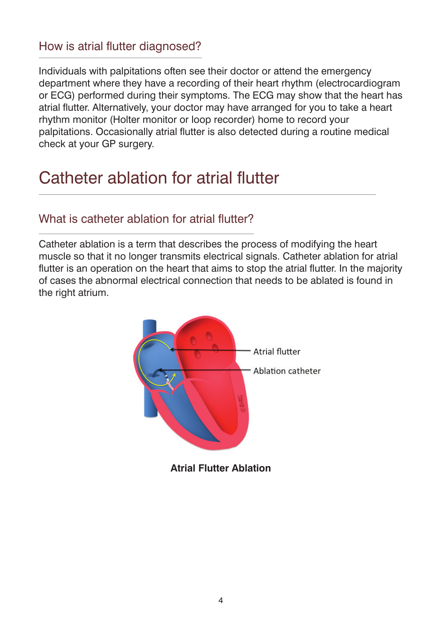# How is atrial flutter diagnosed?

Individuals with palpitations often see their doctor or attend the emergency department where they have a recording of their heart rhythm (electrocardiogram or ECG) performed during their symptoms. The ECG may show that the heart has atrial flutter. Alternatively, your doctor may have arranged for you to take a heart rhythm monitor (Holter monitor or loop recorder) home to record your palpitations. Occasionally atrial flutter is also detected during a routine medical check at your GP surgery.

# Catheter ablation for atrial flutter

### What is catheter ablation for atrial flutter?

Catheter ablation is a term that describes the process of modifying the heart muscle so that it no longer transmits electrical signals. Catheter ablation for atrial flutter is an operation on the heart that aims to stop the atrial flutter. In the majority of cases the abnormal electrical connection that needs to be ablated is found in the right atrium.

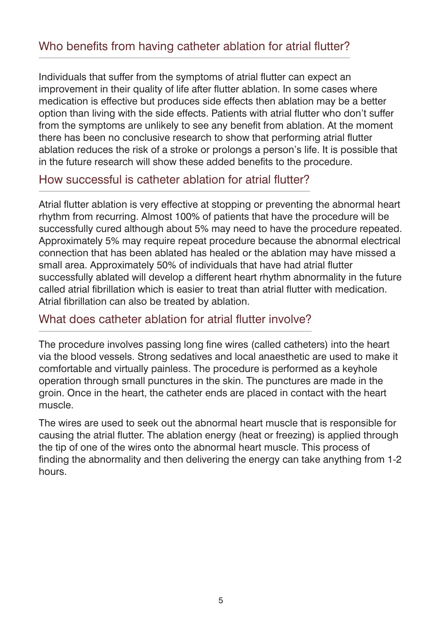# Who benefits from having catheter ablation for atrial flutter?

Individuals that suffer from the symptoms of atrial flutter can expect an improvement in their quality of life after flutter ablation. In some cases where medication is effective but produces side effects then ablation may be a better option than living with the side effects. Patients with atrial flutter who don't suffer from the symptoms are unlikely to see any benefit from ablation. At the moment there has been no conclusive research to show that performing atrial flutter ablation reduces the risk of a stroke or prolongs a person's life. It is possible that in the future research will show these added benefits to the procedure.

### How successful is catheter ablation for atrial flutter?

Atrial flutter ablation is very effective at stopping or preventing the abnormal heart rhythm from recurring. Almost 100% of patients that have the procedure will be successfully cured although about 5% may need to have the procedure repeated. Approximately 5% may require repeat procedure because the abnormal electrical connection that has been ablated has healed or the ablation may have missed a small area. Approximately 50% of individuals that have had atrial flutter successfully ablated will develop a different heart rhythm abnormality in the future called atrial fibrillation which is easier to treat than atrial flutter with medication. Atrial fibrillation can also be treated by ablation.

# What does catheter ablation for atrial flutter involve?

The procedure involves passing long fine wires (called catheters) into the heart via the blood vessels. Strong sedatives and local anaesthetic are used to make it comfortable and virtually painless. The procedure is performed as a keyhole operation through small punctures in the skin. The punctures are made in the groin. Once in the heart, the catheter ends are placed in contact with the heart muscle.

The wires are used to seek out the abnormal heart muscle that is responsible for causing the atrial flutter. The ablation energy (heat or freezing) is applied through the tip of one of the wires onto the abnormal heart muscle. This process of finding the abnormality and then delivering the energy can take anything from 1-2 hours.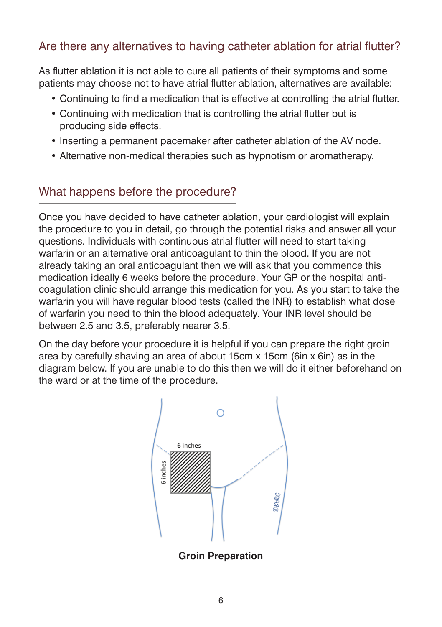# Are there any alternatives to having catheter ablation for atrial flutter?

As flutter ablation it is not able to cure all patients of their symptoms and some patients may choose not to have atrial flutter ablation, alternatives are available:

- Continuing to find a medication that is effective at controlling the atrial flutter.
- Continuing with medication that is controlling the atrial flutter but is producing side effects.
- Inserting a permanent pacemaker after catheter ablation of the AV node.
- Alternative non-medical therapies such as hypnotism or aromatherapy.

# What happens before the procedure?

Once you have decided to have catheter ablation, your cardiologist will explain the procedure to you in detail, go through the potential risks and answer all your questions. Individuals with continuous atrial flutter will need to start taking warfarin or an alternative oral anticoagulant to thin the blood. If you are not already taking an oral anticoagulant then we will ask that you commence this medication ideally 6 weeks before the procedure. Your GP or the hospital anticoagulation clinic should arrange this medication for you. As you start to take the warfarin you will have regular blood tests (called the INR) to establish what dose of warfarin you need to thin the blood adequately. Your INR level should be between 2.5 and 3.5, preferably nearer 3.5.

On the day before your procedure it is helpful if you can prepare the right groin area by carefully shaving an area of about 15cm x 15cm (6in x 6in) as in the diagram below. If you are unable to do this then we will do it either beforehand on the ward or at the time of the procedure.



**Groin Preparation**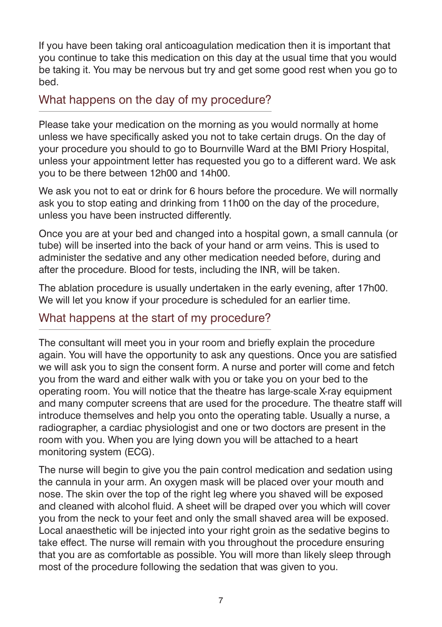If you have been taking oral anticoagulation medication then it is important that you continue to take this medication on this day at the usual time that you would be taking it. You may be nervous but try and get some good rest when you go to bed.

### What happens on the day of my procedure?

Please take your medication on the morning as you would normally at home unless we have specifically asked you not to take certain drugs. On the day of your procedure you should to go to Bournville Ward at the BMI Priory Hospital, unless your appointment letter has requested you go to a different ward. We ask you to be there between 12h00 and 14h00.

We ask you not to eat or drink for 6 hours before the procedure. We will normally ask you to stop eating and drinking from 11h00 on the day of the procedure, unless you have been instructed differently.

Once you are at your bed and changed into a hospital gown, a small cannula (or tube) will be inserted into the back of your hand or arm veins. This is used to administer the sedative and any other medication needed before, during and after the procedure. Blood for tests, including the INR, will be taken.

The ablation procedure is usually undertaken in the early evening, after 17h00. We will let you know if your procedure is scheduled for an earlier time.

# What happens at the start of my procedure?

The consultant will meet you in your room and briefly explain the procedure again. You will have the opportunity to ask any questions. Once you are satisfied we will ask you to sign the consent form. A nurse and porter will come and fetch you from the ward and either walk with you or take you on your bed to the operating room. You will notice that the theatre has large-scale X-ray equipment and many computer screens that are used for the procedure. The theatre staff will introduce themselves and help you onto the operating table. Usually a nurse, a radiographer, a cardiac physiologist and one or two doctors are present in the room with you. When you are lying down you will be attached to a heart monitoring system (ECG).

The nurse will begin to give you the pain control medication and sedation using the cannula in your arm. An oxygen mask will be placed over your mouth and nose. The skin over the top of the right leg where you shaved will be exposed and cleaned with alcohol fluid. A sheet will be draped over you which will cover you from the neck to your feet and only the small shaved area will be exposed. Local anaesthetic will be injected into your right groin as the sedative begins to take effect. The nurse will remain with you throughout the procedure ensuring that you are as comfortable as possible. You will more than likely sleep through most of the procedure following the sedation that was given to you.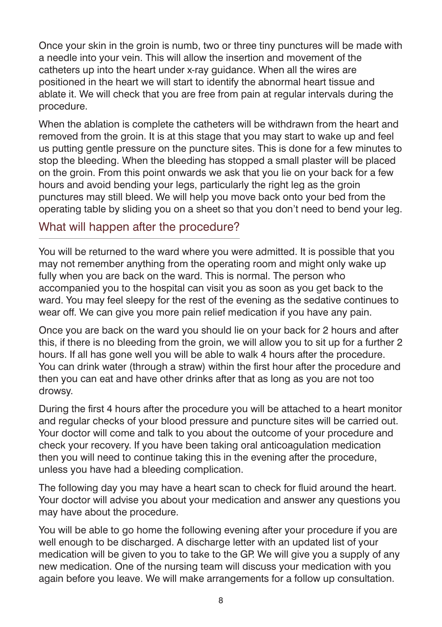Once your skin in the groin is numb, two or three tiny punctures will be made with a needle into your vein. This will allow the insertion and movement of the catheters up into the heart under x-ray guidance. When all the wires are positioned in the heart we will start to identify the abnormal heart tissue and ablate it. We will check that you are free from pain at regular intervals during the procedure.

When the ablation is complete the catheters will be withdrawn from the heart and removed from the groin. It is at this stage that you may start to wake up and feel us putting gentle pressure on the puncture sites. This is done for a few minutes to stop the bleeding. When the bleeding has stopped a small plaster will be placed on the groin. From this point onwards we ask that you lie on your back for a few hours and avoid bending your legs, particularly the right leg as the groin punctures may still bleed. We will help you move back onto your bed from the operating table by sliding you on a sheet so that you don't need to bend your leg.

# What will happen after the procedure?

You will be returned to the ward where you were admitted. It is possible that you may not remember anything from the operating room and might only wake up fully when you are back on the ward. This is normal. The person who accompanied you to the hospital can visit you as soon as you get back to the ward. You may feel sleepy for the rest of the evening as the sedative continues to wear off. We can give you more pain relief medication if you have any pain.

Once you are back on the ward you should lie on your back for 2 hours and after this, if there is no bleeding from the groin, we will allow you to sit up for a further 2 hours. If all has gone well you will be able to walk 4 hours after the procedure. You can drink water (through a straw) within the first hour after the procedure and then you can eat and have other drinks after that as long as you are not too drowsy.

During the first 4 hours after the procedure you will be attached to a heart monitor and regular checks of your blood pressure and puncture sites will be carried out. Your doctor will come and talk to you about the outcome of your procedure and check your recovery. If you have been taking oral anticoagulation medication then you will need to continue taking this in the evening after the procedure, unless you have had a bleeding complication.

The following day you may have a heart scan to check for fluid around the heart. Your doctor will advise you about your medication and answer any questions you may have about the procedure.

You will be able to go home the following evening after your procedure if you are well enough to be discharged. A discharge letter with an updated list of your medication will be given to you to take to the GP. We will give you a supply of any new medication. One of the nursing team will discuss your medication with you again before you leave. We will make arrangements for a follow up consultation.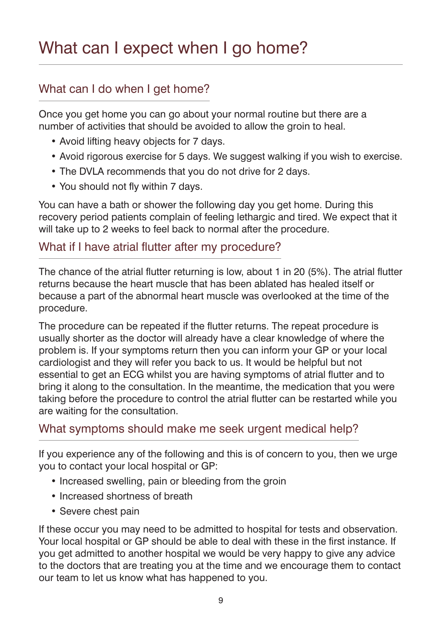# What can I expect when I go home?

# What can I do when I get home?

Once you get home you can go about your normal routine but there are a number of activities that should be avoided to allow the groin to heal.

- Avoid lifting heavy objects for 7 days.
- Avoid rigorous exercise for 5 days. We suggest walking if you wish to exercise.
- The DVLA recommends that you do not drive for 2 days.
- You should not fly within 7 days.

You can have a bath or shower the following day you get home. During this recovery period patients complain of feeling lethargic and tired. We expect that it will take up to 2 weeks to feel back to normal after the procedure.

### What if I have atrial flutter after my procedure?

The chance of the atrial flutter returning is low, about 1 in 20 (5%). The atrial flutter returns because the heart muscle that has been ablated has healed itself or because a part of the abnormal heart muscle was overlooked at the time of the procedure.

The procedure can be repeated if the flutter returns. The repeat procedure is usually shorter as the doctor will already have a clear knowledge of where the problem is. If your symptoms return then you can inform your GP or your local cardiologist and they will refer you back to us. It would be helpful but not essential to get an ECG whilst you are having symptoms of atrial flutter and to bring it along to the consultation. In the meantime, the medication that you were taking before the procedure to control the atrial flutter can be restarted while you are waiting for the consultation.

# What symptoms should make me seek urgent medical help?

If you experience any of the following and this is of concern to you, then we urge you to contact your local hospital or GP:

- Increased swelling, pain or bleeding from the groin
- Increased shortness of breath
- Severe chest pain

If these occur you may need to be admitted to hospital for tests and observation. Your local hospital or GP should be able to deal with these in the first instance. If you get admitted to another hospital we would be very happy to give any advice to the doctors that are treating you at the time and we encourage them to contact our team to let us know what has happened to you.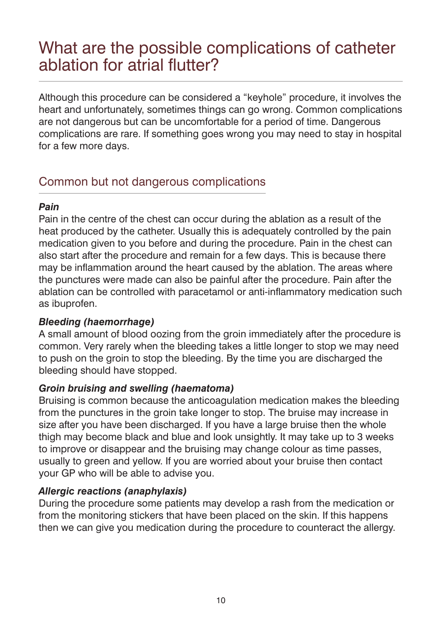# What are the possible complications of catheter ablation for atrial flutter?

Although this procedure can be considered a "keyhole" procedure, it involves the heart and unfortunately, sometimes things can go wrong. Common complications are not dangerous but can be uncomfortable for a period of time. Dangerous complications are rare. If something goes wrong you may need to stay in hospital for a few more days.

# Common but not dangerous complications

#### *Pain*

Pain in the centre of the chest can occur during the ablation as a result of the heat produced by the catheter. Usually this is adequately controlled by the pain medication given to you before and during the procedure. Pain in the chest can also start after the procedure and remain for a few days. This is because there may be inflammation around the heart caused by the ablation. The areas where the punctures were made can also be painful after the procedure. Pain after the ablation can be controlled with paracetamol or anti-inflammatory medication such as ibuprofen.

#### *Bleeding (haemorrhage)*

A small amount of blood oozing from the groin immediately after the procedure is common. Very rarely when the bleeding takes a little longer to stop we may need to push on the groin to stop the bleeding. By the time you are discharged the bleeding should have stopped.

### *Groin bruising and swelling (haematoma)*

Bruising is common because the anticoagulation medication makes the bleeding from the punctures in the groin take longer to stop. The bruise may increase in size after you have been discharged. If you have a large bruise then the whole thigh may become black and blue and look unsightly. It may take up to 3 weeks to improve or disappear and the bruising may change colour as time passes, usually to green and yellow. If you are worried about your bruise then contact your GP who will be able to advise you.

#### *Allergic reactions (anaphylaxis)*

During the procedure some patients may develop a rash from the medication or from the monitoring stickers that have been placed on the skin. If this happens then we can give you medication during the procedure to counteract the allergy.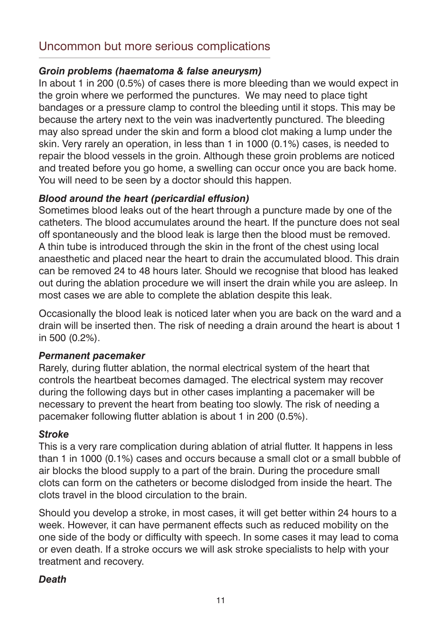# Uncommon but more serious complications

### *Groin problems (haematoma & false aneurysm)*

In about 1 in 200 (0.5%) of cases there is more bleeding than we would expect in the groin where we performed the punctures. We may need to place tight bandages or a pressure clamp to control the bleeding until it stops. This may be because the artery next to the vein was inadvertently punctured. The bleeding may also spread under the skin and form a blood clot making a lump under the skin. Very rarely an operation, in less than 1 in 1000 (0.1%) cases, is needed to repair the blood vessels in the groin. Although these groin problems are noticed and treated before you go home, a swelling can occur once you are back home. You will need to be seen by a doctor should this happen.

### *Blood around the heart (pericardial effusion)*

Sometimes blood leaks out of the heart through a puncture made by one of the catheters. The blood accumulates around the heart. If the puncture does not seal off spontaneously and the blood leak is large then the blood must be removed. A thin tube is introduced through the skin in the front of the chest using local anaesthetic and placed near the heart to drain the accumulated blood. This drain can be removed 24 to 48 hours later. Should we recognise that blood has leaked out during the ablation procedure we will insert the drain while you are asleep. In most cases we are able to complete the ablation despite this leak.

Occasionally the blood leak is noticed later when you are back on the ward and a drain will be inserted then. The risk of needing a drain around the heart is about 1 in 500 (0.2%).

### *Permanent pacemaker*

Rarely, during flutter ablation, the normal electrical system of the heart that controls the heartbeat becomes damaged. The electrical system may recover during the following days but in other cases implanting a pacemaker will be necessary to prevent the heart from beating too slowly. The risk of needing a pacemaker following flutter ablation is about 1 in 200 (0.5%).

### *Stroke*

This is a very rare complication during ablation of atrial flutter. It happens in less than 1 in 1000 (0.1%) cases and occurs because a small clot or a small bubble of air blocks the blood supply to a part of the brain. During the procedure small clots can form on the catheters or become dislodged from inside the heart. The clots travel in the blood circulation to the brain.

Should you develop a stroke, in most cases, it will get better within 24 hours to a week. However, it can have permanent effects such as reduced mobility on the one side of the body or difficulty with speech. In some cases it may lead to coma or even death. If a stroke occurs we will ask stroke specialists to help with your treatment and recovery.

### *Death*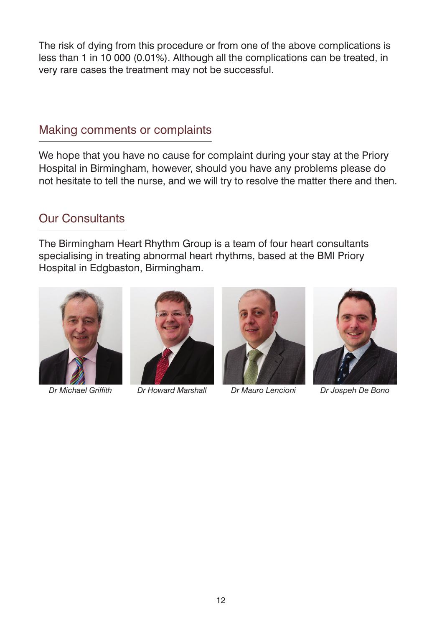The risk of dying from this procedure or from one of the above complications is less than 1 in 10 000 (0.01%). Although all the complications can be treated, in very rare cases the treatment may not be successful.

# Making comments or complaints

We hope that you have no cause for complaint during your stay at the Priory Hospital in Birmingham, however, should you have any problems please do not hesitate to tell the nurse, and we will try to resolve the matter there and then.

# Our Consultants

The Birmingham Heart Rhythm Group is a team of four heart consultants specialising in treating abnormal heart rhythms, based at the BMI Priory Hospital in Edgbaston, Birmingham.





*Dr Michael Griffith Dr Howard Marshall Dr Mauro Lencioni Dr Jospeh De Bono*